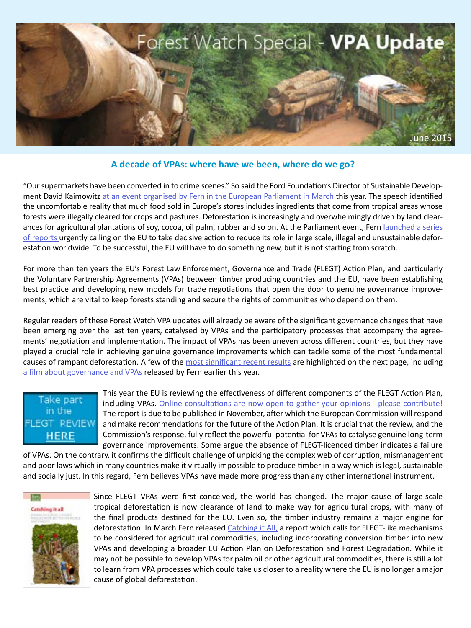

# <span id="page-0-0"></span>**A decade of VPAs: where have we been, where do we go?**

"Our supermarkets have been converted in to crime scenes." So said the Ford Foundation's Director of Sustainable Development David Kaimowitz [at an event organised by Fern in the European Parliament in March t](http://www.fern.org/protecingforestshighlights)his year. The speech identified the uncomfortable reality that much food sold in Europe's stores includes ingredients that come from tropical areas whose forests were illegally cleared for crops and pastures. Deforestation is increasingly and overwhelmingly driven by land clearances for agricultural plantations of soy, cocoa, oil palm, rubber and so on. At the Parliament event, Fern launched a series [of reports](http://www.fern.org/protectingforests) urgently calling on the EU to take decisive action to reduce its role in large scale, illegal and unsustainable deforestation worldwide. To be successful, the EU will have to do something new, but it is not starting from scratch.

For more than ten years the EU's Forest Law Enforcement, Governance and Trade (FLEGT) Action Plan, and particularly the Voluntary Partnership Agreements (VPAs) between timber producing countries and the EU, have been establishing best practice and developing new models for trade negotiations that open the door to genuine governance improvements, which are vital to keep forests standing and secure the rights of communities who depend on them.

Regular readers of these Forest Watch VPA updates will already be aware of the significant governance changes that have been emerging over the last ten years, catalysed by VPAs and the participatory processes that accompany the agreements' negotiation and implementation. The impact of VPAs has been uneven across different countries, but they have played a crucial role in achieving genuine governance improvements which can tackle some of the most fundamental causes of rampant deforestation. A few of the [most significant recent results](#page-1-0) are highlighted on the next page, including [a film about governance and VPAs](http://ec.europa.eu/europeaid/public-consultation-eu-action-plan-forest-law-enforcement-governance-and-trade-flegt_en) released by Fern earlier this year.

# Take part in the FLEGT REVIEW **HERE**

This year the EU is reviewing the effectiveness of different components of the FLEGT Action Plan, including VPAs. [Online consultations are now open to gather your opinions - please contribute!](http://ec.europa.eu/europeaid/public-consultation-eu-action-plan-forest-law-enforcement-governance-and-trade-flegt_en) The report is due to be published in November, after which the European Commission will respond [a](http://ec.europa.eu/europeaid/public-consultation-eu-action-plan-forest-law-enforcement-governance-and-trade-flegt_en)nd make recommendations for the future of the Action Plan. It is crucial that the review, and the Commission's response, fully reflect the powerful potential for VPAs to catalyse genuine long-term governance improvements. Some argue the absence of FLEGT-licenced timber indicates a failure

of VPAs. On the contrary, it confirms the difficult challenge of unpicking the complex web of corruption, mismanagement and poor laws which in many countries make it virtually impossible to produce timber in a way which is legal, sustainable and socially just. In this regard, Fern believes VPAs have made more progress than any other international instrument.



Since FLEGT VPAs were first conceived, the world has changed. The major cause of large-scale tropical deforestation is now clearance of land to make way for agricultural crops, with many of the final products destined for the EU. Even so, the timber industry remains a major engine for deforestation. In March Fern released [Catching it All,](http://www.fern.org/catchingitall) a report which calls for FLEGT-like mechanisms to be considered for agricultural commodities, including incorporating conversion timber into new VPAs and developing a broader EU Action Plan on Deforestation and Forest Degradation. While it may not be possible to develop VPAs for palm oil or other agricultural commodities, there is still a lot to learn from VPA processes which could take us closer to a reality where the EU is no longer a major [c](http://www.fern.org/catchingitall)ause of global deforestation.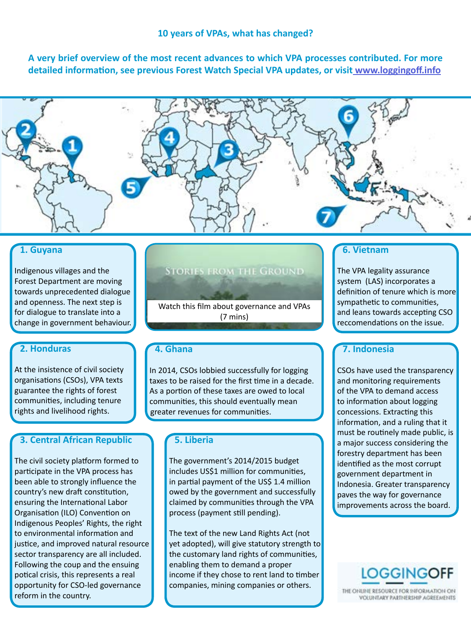<span id="page-1-0"></span>**A very brief overview of the most recent advances to which VPA processes contributed. For more detailed information, see previous Forest Watch Special VPA updates, or visi[t www.loggingoff.info](http:// www.loggingoff.info)**



# **1. Guyana**

Indigenous villages and the Forest Department are moving towards unprecedented dialogue and openness. The next step is for dialogue to translate into a change in government behaviour.

# **2. Honduras**

At the insistence of civil society organisations (CSOs), VPA texts guarantee the rights of forest communities, including tenure rights and livelihood rights.

# **3. Central African Republic**

The civil society platform formed to participate in the VPA process has been able to strongly influence the country's new draft constitution, ensuring the International Labor Organisation (ILO) Convention on Indigenous Peoples' Rights, the right to environmental information and justice, and improved natural resource sector transparency are all included. Following the coup and the ensuing potical crisis, this represents a real opportunity for CSO-led governance reform in the country.

# **STORIES FROM THE GROUND**

[Watch this film about governance and VPAs](http://www.fern.org/storiesfromtheground)  (7 mins)

## **4. Ghana**

In 2014, CSOs lobbied successfully for logging taxes to be raised for the first time in a decade. As a portion of these taxes are owed to local communities, this should eventually mean greater revenues for communities.

# **5. Liberia**

The government's 2014/2015 budget includes US\$1 million for communities, in partial payment of the US\$ 1.4 million owed by the government and successfully claimed by communities through the VPA process (payment still pending).

The text of the new Land Rights Act (not yet adopted), will give statutory strength to the customary land rights of communities, enabling them to demand a proper income if they chose to rent land to timber companies, mining companies or others.

# **6. Vietnam**

The VPA legality assurance system (LAS) incorporates a definition of tenure which is more sympathetic to communities, and leans towards accepting CSO reccomendations on the issue.

# **7. Indonesia**

CSOs have used the transparency and monitoring requirements of the VPA to demand access to information about logging concessions. Extracting this information, and a ruling that it must be routinely made public, is a major success considering the forestry department has been identified as the most corrupt government department in Indonesia. Greater transparency paves the way for governance improvements across the board.



THE ONLINE RESOURCE FOR INFORMATION ON **VOLUNTARY PARTNERSHIP AGREEMENTS**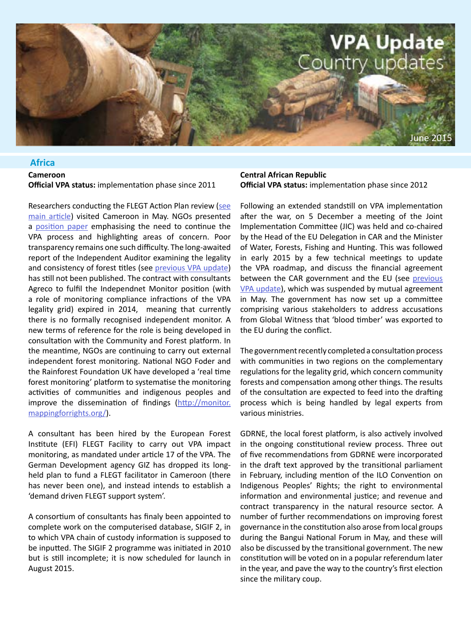

## **Africa**

### **Cameroon Official VPA status:** implementation phase since 2011

Researchers conducting the FLEGT Action Plan review ([see](#page-0-0) [main article](#page-0-0)) visited Cameroon in May. NGOs presented a [position paper](http://www.fern.org/November2014FLEGTUpdate) emphasising the need to continue the VPA process and highlighting areas of concern. Poor transparency remains one such difficulty. The long-awaited report of the Independent Auditor examining the legality and consistency of forest titles (see [previous VPA update\)](http://www.fern.org/November2014FLEGTUpdate) has still not been published. The contract with consultants Agreco to fulfil the Independnet Monitor position (with a role of monitoring compliance infractions of the VPA legality grid) expired in 2014, meaning that currently there is no formally recognised independent monitor. A new terms of reference for the role is being developed in consultation with the Community and Forest platform. In the meantime, NGOs are continuing to carry out external independent forest monitoring. National NGO Foder and the Rainforest Foundation UK have developed a 'real time forest monitoring' platform to systematise the monitoring activities of communities and indigenous peoples and improve the dissemination of findings [\(http://monitor.](http://monitor.mappingforrights.org/) [mappingforrights.org/](http://monitor.mappingforrights.org/)).

A consultant has been hired by the European Forest Institute (EFI) FLEGT Facility to carry out VPA impact monitoring, as mandated under article 17 of the VPA. The German Development agency GIZ has dropped its longheld plan to fund a FLEGT facilitator in Cameroon (there has never been one), and instead intends to establish a 'demand driven FLEGT support system'.

A consortium of consultants has finaly been appointed to complete work on the computerised database, SIGIF 2, in to which VPA chain of custody information is supposed to be inputted. The SIGIF 2 programme was initiated in 2010 but is still incomplete; it is now scheduled for launch in August 2015.

### **Central African Republic Official VPA status:** implementation phase since 2012

Following an extended standstill on VPA implementation after the war, on 5 December a meeting of the Joint Implementation Committee (JIC) was held and co-chaired by the Head of the EU Delegation in CAR and the Minister of Water, Forests, Fishing and Hunting. This was followed in early 2015 by a few technical meetings to update the VPA roadmap, and discuss the financial agreement between the CAR government and the EU (see previous [VPA update\)](http://www.fern.org/November2014FLEGTUpdate), which was suspended by mutual agreement in May. The government has now set up a committee comprising various stakeholders to address accusations from Global Witness that 'blood timber' was exported to the EU during the conflict.

The government recently completed a consultation process with communities in two regions on the complementary regulations for the legality grid, which concern community forests and compensation among other things. The results of the consultation are expected to feed into the drafting process which is being handled by legal experts from various ministries.

GDRNE, the local forest platform, is also actively involved in the ongoing constitutional review process. Three out of five recommendations from GDRNE were incorporated in the draft text approved by the transitional parliament in February, including mention of the ILO Convention on Indigenous Peoples' Rights; the right to environmental information and environmental justice; and revenue and contract transparency in the natural resource sector. A number of further recommendations on improving forest governance in the constitution also arose from local groups during the Bangui National Forum in May, and these will also be discussed by the transitional government. The new constitution will be voted on in a popular referendum later in the year, and pave the way to the country's first election since the military coup.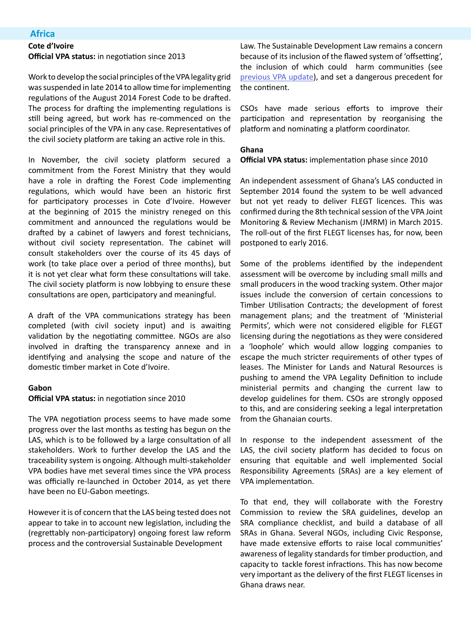## **Africa**

### **Cote d'Ivoire**

**Official VPA status:** in negotiation since 2013

Work to develop the social principles of the VPA legality grid was suspended in late 2014 to allow time for implementing regulations of the August 2014 Forest Code to be drafted. The process for drafting the implementing regulations is still being agreed, but work has re-commenced on the social principles of the VPA in any case. Representatives of the civil society platform are taking an active role in this.

In November, the civil society platform secured a commitment from the Forest Ministry that they would have a role in drafting the Forest Code implementing regulations, which would have been an historic first for participatory processes in Cote d'Ivoire. However at the beginning of 2015 the ministry reneged on this commitment and announced the regulations would be drafted by a cabinet of lawyers and forest technicians, without civil society representation. The cabinet will consult stakeholders over the course of its 45 days of work (to take place over a period of three months), but it is not yet clear what form these consultations will take. The civil society platform is now lobbying to ensure these consultations are open, participatory and meaningful.

A draft of the VPA communications strategy has been completed (with civil society input) and is awaiting validation by the negotiating committee. NGOs are also involved in drafting the transparency annexe and in identifying and analysing the scope and nature of the domestic timber market in Cote d'Ivoire.

#### **Gabon**

#### **Official VPA status:** in negotiation since 2010

The VPA negotiation process seems to have made some progress over the last months as testing has begun on the LAS, which is to be followed by a large consultation of all stakeholders. Work to further develop the LAS and the traceability system is ongoing. Although multi-stakeholder VPA bodies have met several times since the VPA process was officially re-launched in October 2014, as yet there have been no EU-Gabon meetings.

However it is of concern that the LAS being tested does not appear to take in to account new legislation, including the (regrettably non-participatory) ongoing forest law reform process and the controversial Sustainable Development

Law. The Sustainable Development Law remains a concern because of its inclusion of the flawed system of 'offsetting', the inclusion of which could harm communities (see [previous VPA update](http://www.fern.org/November2014FLEGTUpdate)), and set a dangerous precedent for the continent.

CSOs have made serious efforts to improve their participation and representation by reorganising the platform and nominating a platform coordinator.

#### **Ghana**

**Official VPA status:** implementation phase since 2010

An independent assessment of Ghana's LAS conducted in September 2014 found the system to be well advanced but not yet ready to deliver FLEGT licences. This was confirmed during the 8th technical session of the VPA Joint Monitoring & Review Mechanism (JMRM) in March 2015. The roll-out of the first FLEGT licenses has, for now, been postponed to early 2016.

Some of the problems identified by the independent assessment will be overcome by including small mills and small producers in the wood tracking system. Other major issues include the conversion of certain concessions to Timber Utilisation Contracts; the development of forest management plans; and the treatment of 'Ministerial Permits', which were not considered eligible for FLEGT licensing during the negotiations as they were considered a 'loophole' which would allow logging companies to escape the much stricter requirements of other types of leases. The Minister for Lands and Natural Resources is pushing to amend the VPA Legality Definition to include ministerial permits and changing the current law to develop guidelines for them. CSOs are strongly opposed to this, and are considering seeking a legal interpretation from the Ghanaian courts.

In response to the independent assessment of the LAS, the civil society platform has decided to focus on ensuring that equitable and well implemented Social Responsibility Agreements (SRAs) are a key element of VPA implementation.

To that end, they will collaborate with the Forestry Commission to review the SRA guidelines, develop an SRA compliance checklist, and build a database of all SRAs in Ghana. Several NGOs, including Civic Response, have made extensive efforts to raise local communities' awareness of legality standards for timber production, and capacity to tackle forest infractions. This has now become very important as the delivery of the first FLEGT licenses in Ghana draws near.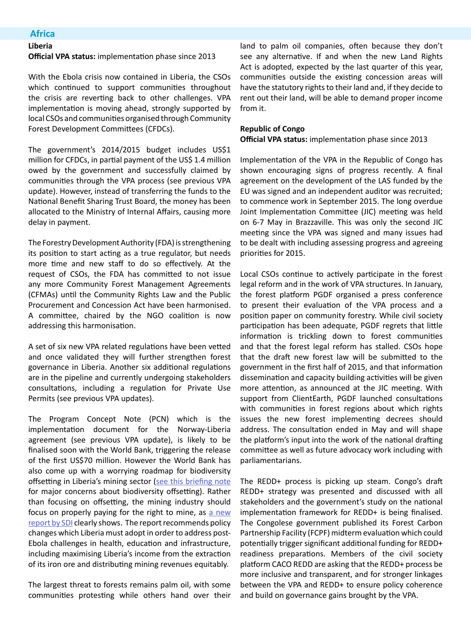### **Africa**

# **Liberia**

**Official VPA status:** implementation phase since 2013

With the Ebola crisis now contained in Liberia, the CSOs which continued to support communities throughout the crisis are reverting back to other challenges. VPA implementation is moving ahead, strongly supported by local CSOs and communities organised through Community Forest Development Committees (CFDCs).

The government's 2014/2015 budget includes US\$1 million for CFDCs, in partial payment of the US\$ 1.4 million owed by the government and successfully claimed by communities through the VPA process (see previous VPA update). However, instead of transferring the funds to the National Benefit Sharing Trust Board, the money has been allocated to the Ministry of Internal Affairs, causing more delay in payment.

The Forestry Development Authority (FDA) is strengthening its position to start acting as a true regulator, but needs more time and new staff to do so effectively. At the request of CSOs, the FDA has committed to not issue any more Community Forest Management Agreements (CFMAs) until the Community Rights Law and the Public Procurement and Concession Act have been harmonised. A committee, chaired by the NGO coalition is now addressing this harmonisation.

A set of six new VPA related regulations have been vetted and once validated they will further strengthen forest governance in Liberia. Another six additional regulations are in the pipeline and currently undergoing stakeholders consultations, including a regulation for Private Use Permits (see previous VPA updates).

The Program Concept Note (PCN) which is the implementation document for the Norway-Liberia agreement (see previous VPA update), is likely to be finalised soon with the World Bank, triggering the release of the first US\$70 million. However the World Bank has also come up with a worrying roadmap for biodiversity offsetting in Liberia's mining sector ([see this briefing note](http://www.fern.org/biodiversity-offsetting) for major concerns about biodiversity offsetting). Rather than focusing on offsetting, the mining industry should focus on properly paying for the right to mine, as [a new](http://www.sdiliberia.org/sites/default/files/publications/Poverty in the midst of plenty.pdf) [report by SDI](http://www.sdiliberia.org/sites/default/files/publications/Poverty in the midst of plenty.pdf) clearly shows. The report recommends policy changes which Liberia must adopt in order to address post-Ebola challenges in health, education and infrastructure, including maximising Liberia's income from the extraction of its iron ore and distributing mining revenues equitably.

The largest threat to forests remains palm oil, with some communities protesting while others hand over their land to palm oil companies, often because they don't see any alternative. If and when the new Land Rights Act is adopted, expected by the last quarter of this year, communities outside the existing concession areas will have the statutory rights to their land and, if they decide to rent out their land, will be able to demand proper income from it.

#### **Republic of Congo**

**Official VPA status:** implementation phase since 2013

Implementation of the VPA in the Republic of Congo has shown encouraging signs of progress recently. A final agreement on the development of the LAS funded by the EU was signed and an independent auditor was recruited; to commence work in September 2015. The long overdue Joint Implementation Committee (JIC) meeting was held on 6-7 May in Brazzaville. This was only the second JIC meeting since the VPA was signed and many issues had to be dealt with including assessing progress and agreeing priorities for 2015.

Local CSOs continue to actively participate in the forest legal reform and in the work of VPA structures. In January, the forest platform PGDF organised a press conference to present their evaluation of the VPA process and a position paper on community forestry. While civil society participation has been adequate, PGDF regrets that little information is trickling down to forest communities and that the forest legal reform has stalled. CSOs hope that the draft new forest law will be submitted to the government in the first half of 2015, and that information dissemination and capacity building activities will be given more attention, as announced at the JIC meeting. With support from ClientEarth, PGDF launched consultations with communities in forest regions about which rights issues the new forest implementing decrees should address. The consultation ended in May and will shape the platform's input into the work of the national drafting committee as well as future advocacy work including with parliamentarians.

The REDD+ process is picking up steam. Congo's draft REDD+ strategy was presented and discussed with all stakeholders and the government's study on the national implementation framework for REDD+ is being finalised. The Congolese government published its Forest Carbon Partnership Facility (FCPF) midterm evaluation which could potentially trigger significant additional funding for REDD+ readiness preparations. Members of the civil society platform CACO REDD are asking that the REDD+ process be more inclusive and transparent, and for stronger linkages between the VPA and REDD+ to ensure policy coherence and build on governance gains brought by the VPA.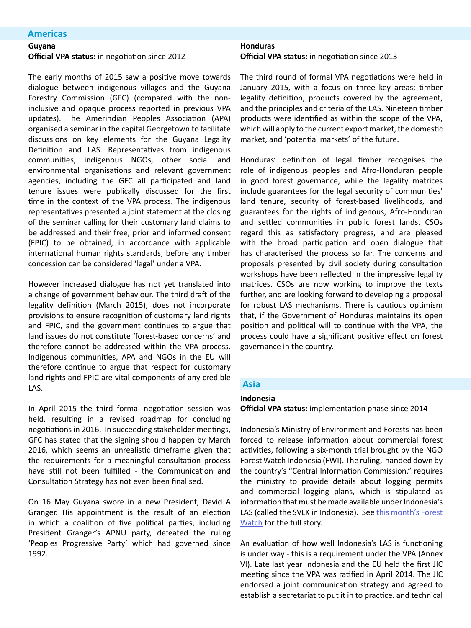### **Americas**

### **Guyana**

**Official VPA status:** in negotiation since 2012

The early months of 2015 saw a positive move towards dialogue between indigenous villages and the Guyana Forestry Commission (GFC) (compared with the noninclusive and opaque process reported in previous VPA updates). The Amerindian Peoples Association (APA) organised a seminar in the capital Georgetown to facilitate discussions on key elements for the Guyana Legality Definition and LAS. Representatives from indigenous communities, indigenous NGOs, other social and environmental organisations and relevant government agencies, including the GFC all participated and land tenure issues were publically discussed for the first time in the context of the VPA process. The indigenous representatives presented a joint statement at the closing of the seminar calling for their customary land claims to be addressed and their free, prior and informed consent (FPIC) to be obtained, in accordance with applicable international human rights standards, before any timber concession can be considered 'legal' under a VPA.

However increased dialogue has not yet translated into a change of government behaviour. The third draft of the legality definition (March 2015), does not incorporate provisions to ensure recognition of customary land rights and FPIC, and the government continues to argue that land issues do not constitute 'forest-based concerns' and therefore cannot be addressed within the VPA process. Indigenous communities, APA and NGOs in the EU will therefore continue to argue that respect for customary land rights and FPIC are vital components of any credible LAS.

In April 2015 the third formal negotiation session was held, resulting in a revised roadmap for concluding negotiations in 2016. In succeeding stakeholder meetings, GFC has stated that the signing should happen by March 2016, which seems an unrealistic timeframe given that the requirements for a meaningful consultation process have still not been fulfilled - the Communication and Consultation Strategy has not even been finalised.

On 16 May Guyana swore in a new President, David A Granger. His appointment is the result of an election in which a coalition of five political parties, including President Granger's APNU party, defeated the ruling 'Peoples Progressive Party' which had governed since 1992.

# **Honduras**

**Official VPA status:** in negotiation since 2013

The third round of formal VPA negotiations were held in January 2015, with a focus on three key areas; timber legality definition, products covered by the agreement, and the principles and criteria of the LAS. Nineteen timber products were identified as within the scope of the VPA, which will apply to the current export market, the domestic market, and 'potential markets' of the future.

Honduras' definition of legal timber recognises the role of indigenous peoples and Afro-Honduran people in good forest governance, while the legality matrices include guarantees for the legal security of communities' land tenure, security of forest-based livelihoods, and guarantees for the rights of indigenous, Afro-Honduran and settled communities in public forest lands. CSOs regard this as satisfactory progress, and are pleased with the broad participation and open dialogue that has characterised the process so far. The concerns and proposals presented by civil society during consultation workshops have been reflected in the impressive legality matrices. CSOs are now working to improve the texts further, and are looking forward to developing a proposal for robust LAS mechanisms. There is cautious optimism that, if the Government of Honduras maintains its open position and political will to continue with the VPA, the process could have a significant positive effect on forest governance in the country.

### **Asia**

#### **Indonesia**

**Official VPA status:** implementation phase since 2014

Indonesia's Ministry of Environment and Forests has been forced to release information about commercial forest activities, following a six-month trial brought by the NGO Forest Watch Indonesia (FWI). The ruling, handed down by the country's "Central Information Commission," requires the ministry to provide details about logging permits and commercial logging plans, which is stipulated as information that must be made available under Indonesia's LAS (called the SVLK in Indonesia). See [this month's Forest](http://this month’s Forest Watch) [Watch](http://this month’s Forest Watch) for the full story.

An evaluation of how well Indonesia's LAS is functioning is under way - this is a requirement under the VPA (Annex VI). Late last year Indonesia and the EU held the first JIC meeting since the VPA was ratified in April 2014. The JIC endorsed a joint communication strategy and agreed to establish a secretariat to put it in to practice. and technical